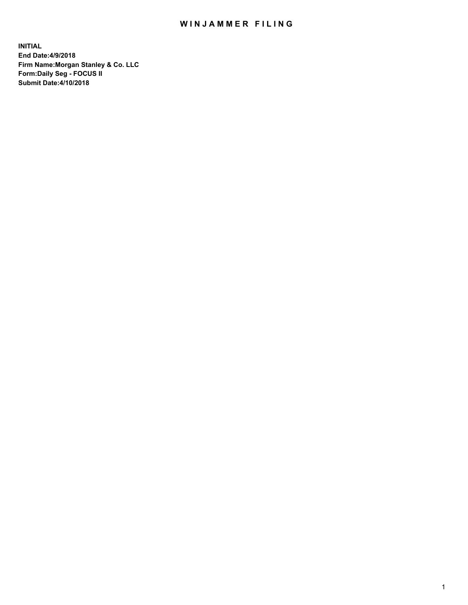## WIN JAMMER FILING

**INITIAL End Date:4/9/2018 Firm Name:Morgan Stanley & Co. LLC Form:Daily Seg - FOCUS II Submit Date:4/10/2018**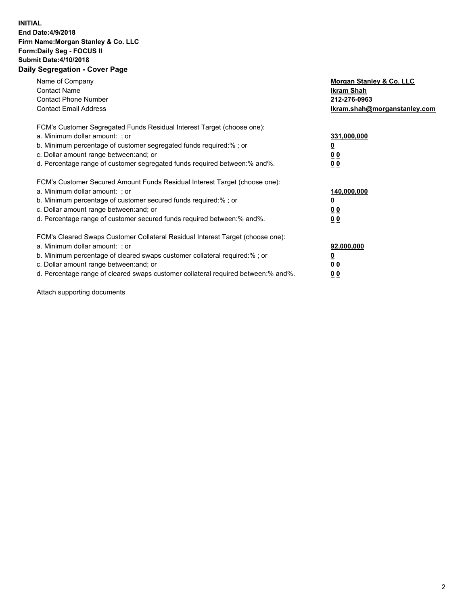## **INITIAL End Date:4/9/2018 Firm Name:Morgan Stanley & Co. LLC Form:Daily Seg - FOCUS II Submit Date:4/10/2018 Daily Segregation - Cover Page**

| Name of Company<br><b>Contact Name</b><br><b>Contact Phone Number</b><br><b>Contact Email Address</b>                                                                                                                                                                                                                          | Morgan Stanley & Co. LLC<br>Ikram Shah<br>212-276-0963<br>lkram.shah@morganstanley.com |
|--------------------------------------------------------------------------------------------------------------------------------------------------------------------------------------------------------------------------------------------------------------------------------------------------------------------------------|----------------------------------------------------------------------------------------|
| FCM's Customer Segregated Funds Residual Interest Target (choose one):<br>a. Minimum dollar amount: ; or<br>b. Minimum percentage of customer segregated funds required:%; or<br>c. Dollar amount range between: and; or<br>d. Percentage range of customer segregated funds required between: % and %.                        | 331,000,000<br><u>0</u><br>0 <sub>0</sub><br><u>00</u>                                 |
| FCM's Customer Secured Amount Funds Residual Interest Target (choose one):<br>a. Minimum dollar amount: ; or<br>b. Minimum percentage of customer secured funds required:%; or<br>c. Dollar amount range between: and; or<br>d. Percentage range of customer secured funds required between: % and %.                          | 140,000,000<br>0 <sub>0</sub><br>0 <sub>0</sub>                                        |
| FCM's Cleared Swaps Customer Collateral Residual Interest Target (choose one):<br>a. Minimum dollar amount: ; or<br>b. Minimum percentage of cleared swaps customer collateral required:% ; or<br>c. Dollar amount range between: and; or<br>d. Percentage range of cleared swaps customer collateral required between:% and%. | 92,000,000<br>0 <sub>0</sub><br>0 <sub>0</sub>                                         |

Attach supporting documents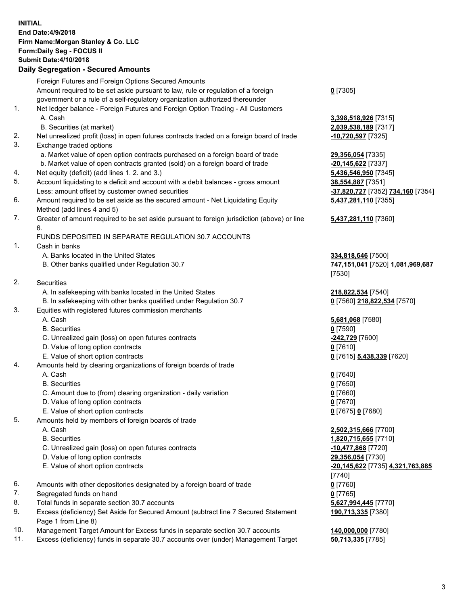## **INITIAL End Date:4/9/2018 Firm Name:Morgan Stanley & Co. LLC Form:Daily Seg - FOCUS II Submit Date:4/10/2018 Daily Segregation - Secured Amounts**

Foreign Futures and Foreign Options Secured Amounts Amount required to be set aside pursuant to law, rule or regulation of a foreign government or a rule of a self-regulatory organization authorized thereunder **0** [7305] 1. Net ledger balance - Foreign Futures and Foreign Option Trading - All Customers A. Cash **3,398,518,926** [7315] B. Securities (at market) **2,039,538,189** [7317] 2. Net unrealized profit (loss) in open futures contracts traded on a foreign board of trade **-10,720,597** [7325] 3. Exchange traded options a. Market value of open option contracts purchased on a foreign board of trade **29,356,054** [7335] b. Market value of open contracts granted (sold) on a foreign board of trade **-20,145,622** [7337] 4. Net equity (deficit) (add lines 1. 2. and 3.) **5,436,546,950** [7345] 5. Account liquidating to a deficit and account with a debit balances - gross amount **38,554,887** [7351] Less: amount offset by customer owned securities **-37,820,727** [7352] **734,160** [7354] 6. Amount required to be set aside as the secured amount - Net Liquidating Equity Method (add lines 4 and 5) 7. Greater of amount required to be set aside pursuant to foreign jurisdiction (above) or line 6. FUNDS DEPOSITED IN SEPARATE REGULATION 30.7 ACCOUNTS 1. Cash in banks A. Banks located in the United States **334,818,646** [7500] B. Other banks qualified under Regulation 30.7 **747,151,041** [7520] **1,081,969,687** [7530] 2. Securities A. In safekeeping with banks located in the United States **218,822,534** [7540] B. In safekeeping with other banks qualified under Regulation 30.7 **0** [7560] **218,822,534** [7570] 3. Equities with registered futures commission merchants A. Cash **5,681,068** [7580] B. Securities **0** [7590] C. Unrealized gain (loss) on open futures contracts **-242,729** [7600] D. Value of long option contracts **0** [7610] E. Value of short option contracts **0** [7615] **5,438,339** [7620] 4. Amounts held by clearing organizations of foreign boards of trade A. Cash **0** [7640] B. Securities **0** [7650] C. Amount due to (from) clearing organization - daily variation **0** [7660] D. Value of long option contracts **0** [7670] E. Value of short option contracts **0** [7675] **0** [7680] 5. Amounts held by members of foreign boards of trade A. Cash **2,502,315,666** [7700] B. Securities **1,820,715,655** [7710] C. Unrealized gain (loss) on open futures contracts **-10,477,868** [7720] D. Value of long option contracts **29,356,054** [7730] E. Value of short option contracts **-20,145,622** [7735] **4,321,763,885** [7740] 6. Amounts with other depositories designated by a foreign board of trade **0** [7760] 7. Segregated funds on hand **0** [7765] 8. Total funds in separate section 30.7 accounts **5,627,994,445** [7770] 9. Excess (deficiency) Set Aside for Secured Amount (subtract line 7 Secured Statement Page 1 from Line 8)

- 10. Management Target Amount for Excess funds in separate section 30.7 accounts **140,000,000** [7780]
- 11. Excess (deficiency) funds in separate 30.7 accounts over (under) Management Target **50,713,335** [7785]

**5,437,281,110** [7355] **5,437,281,110** [7360]

**190,713,335** [7380]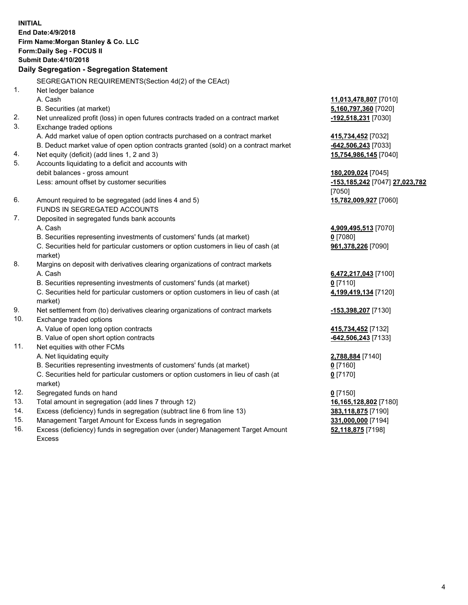**INITIAL End Date:4/9/2018 Firm Name:Morgan Stanley & Co. LLC Form:Daily Seg - FOCUS II Submit Date:4/10/2018 Daily Segregation - Segregation Statement** SEGREGATION REQUIREMENTS(Section 4d(2) of the CEAct) 1. Net ledger balance A. Cash **11,013,478,807** [7010] B. Securities (at market) **5,160,797,360** [7020] 2. Net unrealized profit (loss) in open futures contracts traded on a contract market **-192,518,231** [7030] 3. Exchange traded options A. Add market value of open option contracts purchased on a contract market **415,734,452** [7032] B. Deduct market value of open option contracts granted (sold) on a contract market **-642,506,243** [7033] 4. Net equity (deficit) (add lines 1, 2 and 3) **15,754,986,145** [7040] 5. Accounts liquidating to a deficit and accounts with debit balances - gross amount **180,209,024** [7045] Less: amount offset by customer securities **-153,185,242** [7047] **27,023,782** [7050] 6. Amount required to be segregated (add lines 4 and 5) **15,782,009,927** [7060] FUNDS IN SEGREGATED ACCOUNTS 7. Deposited in segregated funds bank accounts A. Cash **4,909,495,513** [7070] B. Securities representing investments of customers' funds (at market) **0** [7080] C. Securities held for particular customers or option customers in lieu of cash (at market) **961,378,226** [7090] 8. Margins on deposit with derivatives clearing organizations of contract markets A. Cash **6,472,217,043** [7100] B. Securities representing investments of customers' funds (at market) **0** [7110] C. Securities held for particular customers or option customers in lieu of cash (at market) **4,199,419,134** [7120] 9. Net settlement from (to) derivatives clearing organizations of contract markets **-153,398,207** [7130] 10. Exchange traded options A. Value of open long option contracts **415,734,452** [7132] B. Value of open short option contracts **-642,506,243** [7133] 11. Net equities with other FCMs A. Net liquidating equity **2,788,884** [7140] B. Securities representing investments of customers' funds (at market) **0** [7160] C. Securities held for particular customers or option customers in lieu of cash (at market) **0** [7170] 12. Segregated funds on hand **0** [7150] 13. Total amount in segregation (add lines 7 through 12) **16,165,128,802** [7180] 14. Excess (deficiency) funds in segregation (subtract line 6 from line 13) **383,118,875** [7190]

- 15. Management Target Amount for Excess funds in segregation **331,000,000** [7194]
- 16. Excess (deficiency) funds in segregation over (under) Management Target Amount Excess

**52,118,875** [7198]